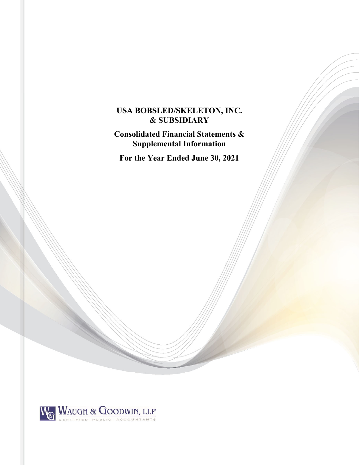# **USA BOBSLED/SKELETON, INC. & SUBSIDIARY**

**Consolidated Financial Statements & Supplemental Information** 

**For the Year Ended June 30, 2021** 

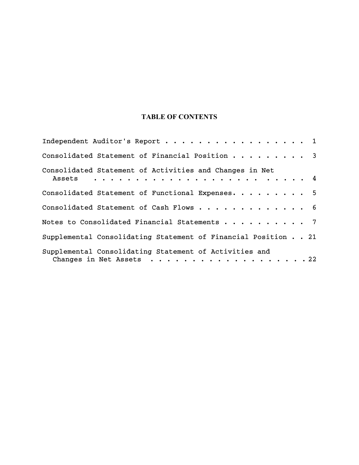# **TABLE OF CONTENTS**

| Independent Auditor's Report 1                                                     |
|------------------------------------------------------------------------------------|
| Consolidated Statement of Financial Position 3                                     |
| Consolidated Statement of Activities and Changes in Net                            |
| Consolidated Statement of Functional Expenses. 5                                   |
| Consolidated Statement of Cash Flows 6                                             |
| Notes to Consolidated Financial Statements 7                                       |
| Supplemental Consolidating Statement of Financial Position 21                      |
| Supplemental Consolidating Statement of Activities and<br>Changes in Net Assets 22 |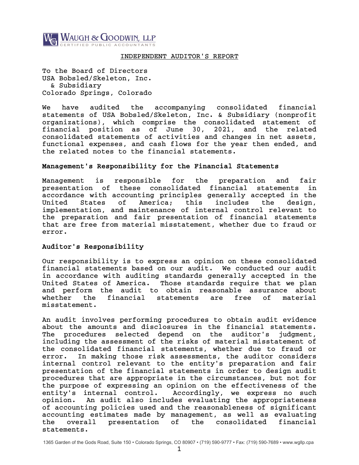

## INDEPENDENT AUDITOR'S REPORT

To the Board of Directors USA Bobsled/Skeleton, Inc. & Subsidiary Colorado Springs, Colorado

We have audited the accompanying consolidated financial statements of USA Bobsled/Skeleton, Inc. & Subsidiary (nonprofit organizations), which comprise the consolidated statement of financial position as of June 30, 2021, and the related consolidated statements of activities and changes in net assets, functional expenses, and cash flows for the year then ended, and the related notes to the financial statements.

## Management's Responsibility for the Financial Statements

Management is responsible for the preparation and fair presentation of these consolidated financial statements in accordance with accounting principles generally accepted in the United States of America; this includes the design, implementation, and maintenance of internal control relevant to the preparation and fair presentation of financial statements that are free from material misstatement, whether due to fraud or error.

## Auditor's Responsibility

Our responsibility is to express an opinion on these consolidated financial statements based on our audit. We conducted our audit in accordance with auditing standards generally accepted in the United States of America. Those standards require that we plan and perform the audit to obtain reasonable assurance about whether the financial statements are free of material misstatement.

An audit involves performing procedures to obtain audit evidence about the amounts and disclosures in the financial statements. The procedures selected depend on the auditor's judgment, including the assessment of the risks of material misstatement of the consolidated financial statements, whether due to fraud or error. In making those risk assessments, the auditor considers internal control relevant to the entity's preparation and fair presentation of the financial statements in order to design audit procedures that are appropriate in the circumstances, but not for the purpose of expressing an opinion on the effectiveness of the entity's internal control. Accordingly, we express no such opinion. An audit also includes evaluating the appropriateness of accounting policies used and the reasonableness of significant accounting estimates made by management, as well as evaluating the overall presentation of the consolidated financial statements.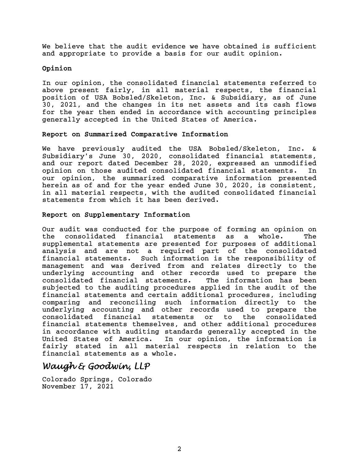We believe that the audit evidence we have obtained is sufficient and appropriate to provide a basis for our audit opinion.

## Opinion

In our opinion, the consolidated financial statements referred to above present fairly, in all material respects, the financial position of USA Bobsled/Skeleton, Inc. & Subsidiary, as of June 30, 2021, and the changes in its net assets and its cash flows for the year then ended in accordance with accounting principles generally accepted in the United States of America.

## Report on Summarized Comparative Information

We have previously audited the USA Bobsled/Skeleton, Inc. & Subsidiary's June 30, 2020, consolidated financial statements, and our report dated December 28, 2020, expressed an unmodified opinion on those audited consolidated financial statements. In our opinion, the summarized comparative information presented herein as of and for the year ended June 30, 2020, is consistent, in all material respects, with the audited consolidated financial statements from which it has been derived.

## Report on Supplementary Information

Our audit was conducted for the purpose of forming an opinion on the consolidated financial statements as a whole. The supplemental statements are presented for purposes of additional analysis and are not a required part of the consolidated financial statements. Such information is the responsibility of management and was derived from and relates directly to the underlying accounting and other records used to prepare the consolidated financial statements. The information has been subjected to the auditing procedures applied in the audit of the financial statements and certain additional procedures, including comparing and reconciling such information directly to the underlying accounting and other records used to prepare the consolidated financial statements or to the consolidated financial statements themselves, and other additional procedures in accordance with auditing standards generally accepted in the United States of America. In our opinion, the information is fairly stated in all material respects in relation to the financial statements as a whole.

# *Waugh & Goodwin, LLP*

Colorado Springs, Colorado November 17, 2021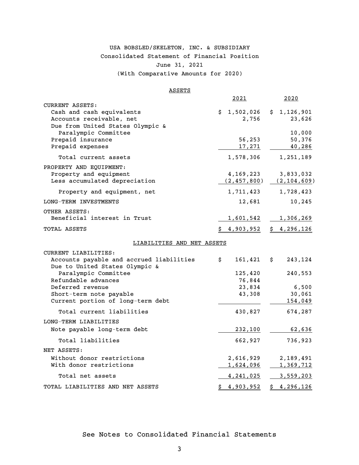# USA BOBSLED/SKELETON, INC. & SUBSIDIARY Consolidated Statement of Financial Position June 31, 2021

(With Comparative Amounts for 2020)

## ASSETS

|                                                                                                              | 2021                          | 2020                                         |
|--------------------------------------------------------------------------------------------------------------|-------------------------------|----------------------------------------------|
| CURRENT ASSETS:<br>Cash and cash equivalents<br>Accounts receivable, net<br>Due from United States Olympic & | \$1,502,026<br>2,756          | \$1,126,901<br>23,626                        |
| Paralympic Committee<br>Prepaid insurance<br>Prepaid expenses                                                | 56,253<br>17,271              | 10,000<br>50,376<br>40,286                   |
| Total current assets                                                                                         | 1,578,306                     | 1,251,189                                    |
| PROPERTY AND EQUIPMENT:<br>Property and equipment<br>Less accumulated depreciation                           | 4,169,223                     | 3,833,032<br>$(2, 457, 800)$ $(2, 104, 609)$ |
| Property and equipment, net                                                                                  | 1,711,423                     | 1,728,423                                    |
| LONG-TERM INVESTMENTS                                                                                        | 12,681                        | 10,245                                       |
| OTHER ASSETS:<br>Beneficial interest in Trust                                                                | <u>1,601,542</u>              | 1,306,269                                    |
| TOTAL ASSETS                                                                                                 | 4,903,952                     | \$4,296,126                                  |
| LIABILITIES AND NET ASSETS                                                                                   |                               |                                              |
| CURRENT LIABILITIES:                                                                                         |                               |                                              |
| Accounts payable and accrued liabilities<br>Due to United States Olympic &                                   | $161,421$ \$<br>\$.           | 243,124                                      |
| Paralympic Committee<br>Refundable advances                                                                  | 125,420<br>76,844             | 240,553                                      |
| Deferred revenue                                                                                             | 23,834                        | 6,500                                        |
| Short-term note payable<br>Current portion of long-term debt                                                 | 43,308                        | 30,061<br>154,049                            |
| Total current liabilities                                                                                    | 430,827                       | 674,287                                      |
| LONG-TERM LIABILITIES                                                                                        |                               |                                              |
| Note payable long-term debt                                                                                  | 232,100                       | 62,636                                       |
| Total liabilities                                                                                            | 662,927                       | 736,923                                      |
| NET ASSETS:                                                                                                  |                               |                                              |
| Without donor restrictions<br>With donor restrictions                                                        | 2,616,929<br><u>1,624,096</u> | 2,189,491<br><u>1,369,712</u>                |
| Total net assets                                                                                             | <u>4,241,025</u>              | 3,559,203                                    |
| TOTAL LIABILITIES AND NET ASSETS                                                                             | \$4,903,952                   | \$4,296,126                                  |

# See Notes to Consolidated Financial Statements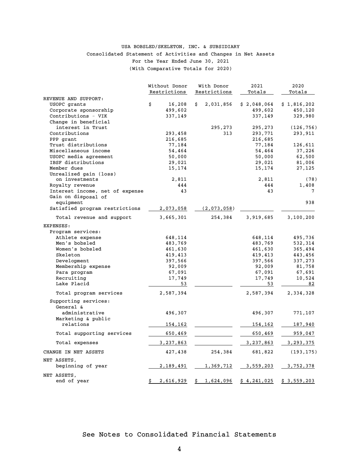## Consolidated Statement of Activities and Changes in Net Assets For the Year Ended June 30, 2021 (With Comparative Totals for 2020) USA BOBSLED/SKELETON, INC. & SUBSIDIARY

|                                 | Without Donor   | With Donor      | 2021        | 2020        |
|---------------------------------|-----------------|-----------------|-------------|-------------|
|                                 | Restrictions    | Restrictions    | Totals      | Totals      |
| REVENUE AND SUPPORT:            |                 |                 |             |             |
| USOPC grants                    | \$<br>16,208    | Ŝ.<br>2,031,856 | \$2,048,064 | \$1,816,202 |
| Corporate sponsorship           | 499,602         |                 | 499,602     | 450,120     |
| Contributions - VIK             | 337,149         |                 | 337,149     | 329,980     |
| Change in beneficial            |                 |                 |             |             |
| interest in Trust               |                 | 295,273         | 295,273     | (126, 756)  |
| Contributions                   | 293,458         | 313             | 293,771     | 293,911     |
| PPP grant                       | 216,685         |                 | 216,685     |             |
| Trust distributions             | 77,184          |                 | 77,184      | 126,611     |
| Miscellaneous income            | 54,464          |                 | 54,464      | 37,226      |
| USOPC media agreement           | 50,000          |                 | 50,000      | 62,500      |
| IBSF distributions              | 29,021          |                 | 29,021      | 81,006      |
| Member dues                     | 15,174          |                 | 15,174      | 27,125      |
| Unrealized gain (loss)          |                 |                 |             |             |
| on investments                  | 2,811           |                 | 2,811       | (78)        |
| Royalty revenue                 | 444             |                 | 444         | 1,408       |
| Interest income, net of expense | 43              |                 | 43          | 7           |
| Gain on disposal of             |                 |                 |             |             |
| equipment                       |                 |                 |             | 938         |
| Satisfied program restrictions  | 2,073,058       | (2,073,058)     |             |             |
| Total revenue and support       | 3,665,301       | 254,384         | 3,919,685   | 3,100,200   |
| EXPENSES:                       |                 |                 |             |             |
| Program services:               |                 |                 |             |             |
| Athlete expense                 | 648,114         |                 | 648,114     | 495,736     |
| Men's bobsled                   | 483,769         |                 | 483,769     | 532,314     |
| Women's bobsled                 | 461,630         |                 | 461,630     | 365,494     |
| Skeleton                        | 419,413         |                 | 419,413     | 443,456     |
| Development                     | 397,566         |                 | 397,566     | 337,273     |
| Membership expense              | 92,009          |                 | 92,009      | 81,758      |
| Para program                    | 67,091          |                 | 67,091      | 67,691      |
| Recruiting                      | 17,749          |                 | 17,749      | 10,524      |
| Lake Placid                     | 53              |                 | 53          | 82          |
| Total program services          | 2,587,394       |                 | 2,587,394   | 2,334,328   |
| Supporting services:            |                 |                 |             |             |
| General &                       |                 |                 |             |             |
| administrative                  | 496,307         |                 | 496,307     | 771,107     |
| Marketing & public              |                 |                 |             |             |
| relations                       | 154,162         |                 | 154,162     | 187,940     |
|                                 |                 |                 |             |             |
| Total supporting services       | 650,469         |                 | 650,469     | 959,047     |
| Total expenses                  | 3,237,863       |                 | 3,237,863   | 3, 293, 375 |
| CHANGE IN NET ASSETS            | 427,438         | 254,384         | 681,822     | (193, 175)  |
| NET ASSETS,                     |                 |                 |             |             |
| beginning of year               | 2,189,491       | 1,369,712       | 3,559,203   | 3,752,378   |
| NET ASSETS,                     |                 |                 |             |             |
| end of year                     | 2,616,929<br>\$ | 1,624,096<br>\$ | \$4,241,025 | \$3,559,203 |
|                                 |                 |                 |             |             |

# See Notes to Consolidated Financial Statements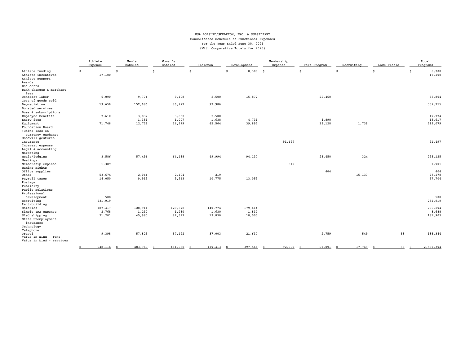#### USA BOBSLED/SKELETON, INC. & SUBSIDIARY Consolidated Schedule of Functional Expenses For the Year Ended June 30, 2021 (With Comparative Totals for 2020)

|                                                                                                            | Athlete<br>Expense         | Men's<br>Bobsled           | Women's<br>Bobsled         | Skeleton                   | Development                | Membership<br>Expense | Para Program | Recruiting | Lake Placid | Total<br>Programs           |
|------------------------------------------------------------------------------------------------------------|----------------------------|----------------------------|----------------------------|----------------------------|----------------------------|-----------------------|--------------|------------|-------------|-----------------------------|
| Athlete funding<br>Athlete incentives<br>Athlete support<br>Awards<br>Bad debts<br>Bank charges & merchant | Ŝ.<br>17,100               | S.                         | Ŝ.                         | Ŝ.                         | 8,300<br>Ŝ                 | s.                    | Ŝ.           | Ś          | Ŝ           | 8,300<br>Ŝ.<br>17,100       |
| fees<br>Contract labor<br>Cost of goods sold                                                               | 6,090                      | 9,774                      | 9,108                      | 2,500                      | 15,872                     |                       | 22,460       |            |             | 65,804                      |
| Depreciation<br>Donated services<br>Dues & subscriptions                                                   | 19,656                     | 152,686                    | 86,927                     | 92,986                     |                            |                       |              |            |             | 352,255                     |
| Employee benefits<br>Entry fees                                                                            | 7,610                      | 3,832<br>1,351             | 3,832<br>1,007             | 2,500<br>1,638             | 4,731                      |                       | 4,890        |            |             | 17,774<br>13,617            |
| Equipment<br>Foundation Board<br>(Gain) loss on<br>currency exchange<br>Goodwill gestures                  | 71,748                     | 12,729                     | 14,279                     | 65,564                     | 39,892                     |                       | 13,128       | 1,739      |             | 219,079                     |
| Insurance<br>Interest expense<br>Legal & accounting                                                        |                            |                            |                            |                            |                            | 91,497                |              |            |             | 91,497                      |
| Marketing<br>Meals/lodging<br>Meetings                                                                     | 3,586                      | 57,496                     | 64,138                     | 49,994                     | 94,137                     |                       | 23,450       | 324        |             | 293,125                     |
| Membership expense<br>Naming rights<br>Office supplies                                                     | 1,389                      |                            |                            |                            |                            | 512                   | 404          |            |             | 1,901<br>404                |
| Other<br>Payroll taxes<br>Postage<br>Publicity<br>Public relations                                         | 53,674<br>14,050           | 2,044<br>9,913             | 2,104<br>9,913             | 219<br>10,775              | 13,053                     |                       |              | 15,137     |             | 73,178<br>57,704            |
| Professional<br>development<br>Recruiting<br>Rent-building                                                 | 508<br>231,919             |                            |                            |                            |                            |                       |              |            |             | 508<br>231,919              |
| Salaries<br>Simple IRA expense<br>Sled shipping<br>State unemployment                                      | 187,417<br>2,768<br>21,201 | 128,911<br>1,230<br>45,980 | 129,578<br>1,230<br>82,392 | 140,774<br>1,630<br>13,830 | 179,614<br>1,830<br>18,500 |                       |              |            |             | 766,294<br>8,688<br>181,903 |
| insurance<br>Technology<br>Telephone<br>Travel<br>Value in kind - rent                                     | 9,398                      | 57,823                     | 57,122                     | 37,003                     | 21,637                     |                       | 2,759        | 549        | 53          | 186,344                     |
| Value in kind - services                                                                                   | 648,114                    | 483,769                    | 461,630                    | 419,413                    | 397,566                    | 92,009                | 67,091       | 17,749     | 53          | 2,587,394                   |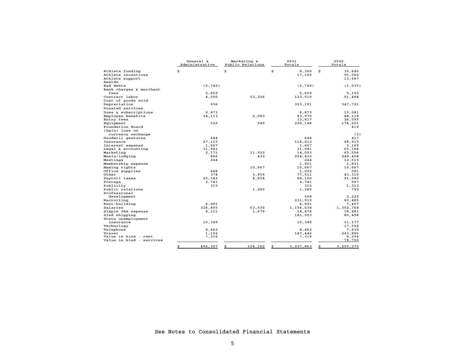|                                    | General &<br>Administrative | Marketing &<br>Public Relations | 2021<br>Totals   | 2020<br>Totals   |
|------------------------------------|-----------------------------|---------------------------------|------------------|------------------|
| Athlete funding                    | \$                          | \$                              | \$<br>8,300      | \$<br>35,640     |
| Athlete incentives                 |                             |                                 | 17,100           | 55,082           |
| Athlete support                    |                             |                                 |                  | 13,687           |
| Awards                             |                             |                                 |                  |                  |
| Bad debts                          | (5, 749)                    |                                 | (5, 749)         | (1,035)          |
| Bank charges & merchant            |                             |                                 |                  |                  |
| fees                               | 5,659                       |                                 | 5,659            | 5,155            |
| Contract labor                     | 4,500                       | 53,206                          | 123,510          | 91,494           |
| Cost of goods sold                 |                             |                                 |                  |                  |
| Depreciation                       | 936                         |                                 | 353,191          | 347,721          |
| Donated services                   |                             |                                 |                  |                  |
| Dues & subscriptions               | 6,873                       |                                 | 6,873            | 10,081           |
| Employee benefits                  | 24,113                      | 2,083                           | 43,970           | 48,118           |
| Entry fees                         |                             |                                 | 13,617           | 26,599           |
| Equipment                          | 529                         | 540                             | 220,148          | 174,601          |
| Foundation Board<br>(Gain) loss on |                             |                                 |                  | 419              |
| currency exchange                  |                             |                                 |                  | (3)              |
| Goodwill gestures                  | 644                         |                                 | 644              | 417              |
| Insurance                          | 27,115                      |                                 | 118,612          | 98,915           |
| Interest expense                   | 1,667                       |                                 | 1,667            | 3,169            |
| Legal & accounting                 | 31,941                      |                                 | 31,941           | 65,184           |
| Marketing                          | 2,171                       | 11,922                          | 14,093           | 65,596           |
| Meals/lodging                      | 866                         | 432                             | 294,423          | 249,408          |
| Meetings                           | 244                         |                                 | 244              | 12,515           |
| Membership expense                 |                             |                                 | 1,901            | 1,821            |
| Naming rights                      |                             | 10,667                          | 10,667           | 10,667           |
| Office supplies                    | 688                         |                                 | 1,092            | 581              |
| Other                              | 374                         | 3,959                           | 77,511           | 43,310           |
| Payroll taxes                      | 25,542                      | 4,854                           | 88,100           | 91,980           |
| Postage                            | 2,741                       |                                 | 2,741            | 987              |
| Publicity                          | 315                         |                                 | 315              | 1,313            |
| Public relations                   |                             | 1,285                           | 1,285            | 792              |
| Professional                       |                             |                                 |                  |                  |
| development                        |                             |                                 | 508              | 2,229            |
| Recruiting                         |                             |                                 | 231,919          | 60,485           |
| Rent-building                      | 6,991                       |                                 | 6,991            | 7,407            |
| Salaries                           | 326,805                     | 63,535                          | 1,156,634        | 1,302,764        |
| Simple IRA expense                 | 4,111                       | 1,679                           | 14,478           | 18,481           |
| Sled shipping                      |                             |                                 | 181,903          | 80,498           |
| State unemployment                 |                             |                                 |                  |                  |
| insurance                          | 10,349                      |                                 | 10,349           | 11,177           |
| Technology                         |                             |                                 |                  | 17,556           |
| Telephone                          | 8,462                       |                                 | 8,462            | 7,635            |
| Travel<br>Value in kind - rent     | 1,102<br>7,318              |                                 | 187,446<br>7,318 | 243.885<br>8,294 |
| Value in kind - services           |                             |                                 |                  | 78,750           |
|                                    | \$<br>496,307               | \$<br>154,162                   | 3,237,863<br>\$  | \$<br>3,293,375  |

See Notes to Consolidated Financial Statements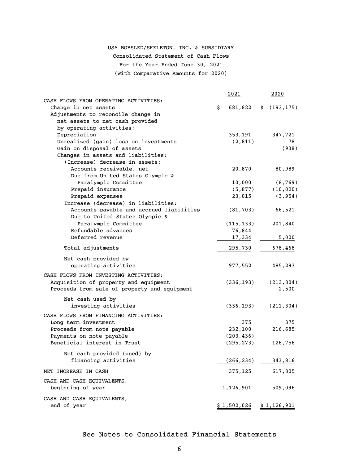# USA BOBSLED/SKELETON, INC. & SUBSIDIARY Consolidated Statement of Cash Flows

For the Year Ended June 30, 2021

(With Comparative Amounts for 2020)

|                                                                     | 2021          | 2020          |
|---------------------------------------------------------------------|---------------|---------------|
| CASH FLOWS FROM OPERATING ACTIVITIES:                               |               |               |
| Change in net assets                                                | \$<br>681,822 | \$(193, 175)  |
| Adjustments to reconcile change in                                  |               |               |
| net assets to net cash provided                                     |               |               |
| by operating activities:                                            |               |               |
| Depreciation                                                        | 353,191       | 347,721<br>78 |
| Unrealized (gain) loss on investments<br>Gain on disposal of assets | (2, 811)      | (938)         |
| Changes in assets and liabilities:                                  |               |               |
| (Increase) decrease in assets:                                      |               |               |
| Accounts receivable, net                                            | 20,870        | 80,989        |
| Due from United States Olympic &                                    |               |               |
| Paralympic Committee                                                | 10,000        | (8, 769)      |
| Prepaid insurance                                                   | (5, 877)      | (10, 020)     |
| Prepaid expenses                                                    | 23,015        | (3, 954)      |
| Increase (decrease) in liabilities:                                 |               |               |
| Accounts payable and accrued liabilities                            | (81, 703)     | 66,521        |
| Due to United States Olympic &                                      |               |               |
| Paralympic Committee                                                | (115, 133)    | 201,840       |
| Refundable advances                                                 | 76,844        |               |
| Deferred revenue                                                    | 17,334        | 5,000         |
| Total adjustments                                                   | 295,730       | 678,468       |
| Net cash provided by                                                |               |               |
| operating activities                                                | 977,552       | 485,293       |
| CASH FLOWS FROM INVESTING ACTIVITIES:                               |               |               |
| Acquisition of property and equipment                               | (336, 193)    | (213, 804)    |
| Proceeds from sale of property and equipment                        |               | 2,500         |
|                                                                     |               |               |
| Net cash used by                                                    |               |               |
| investing activities                                                | (336, 193)    | (211, 304)    |
| CASH FLOWS FROM FINANCING ACTIVITIES:                               |               |               |
| Long term investment                                                | 375           | 375           |
| Proceeds from note payable                                          | 232,100       | 216,685       |
| Payments on note payable                                            | (203, 436)    |               |
| Beneficial interest in Trust                                        | (295,273)     | 126,756       |
| Net cash provided (used) by                                         |               |               |
| financing activities                                                | (266, 234)    | 343,816       |
| NET INCREASE IN CASH                                                | 375,125       | 617,805       |
| CASH AND CASH EQUIVALENTS,                                          |               |               |
| beginning of year                                                   | 1,126,901     | 509,096       |
| CASH AND CASH EQUIVALENTS,                                          |               |               |
| end of year                                                         | \$1,502,026   | \$1,126,901   |

# See Notes to Consolidated Financial Statements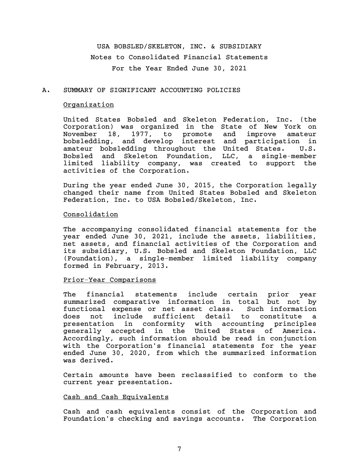USA BOBSLED/SKELETON, INC. & SUBSIDIARY Notes to Consolidated Financial Statements For the Year Ended June 30, 2021

## A. SUMMARY OF SIGNIFICANT ACCOUNTING POLICIES

## Organization

United States Bobsled and Skeleton Federation, Inc. (the Corporation) was organized in the State of New York on November 18, 1977, to promote and improve amateur bobsledding, and develop interest and participation in amateur bobsledding throughout the United States. U.S. Bobsled and Skeleton Foundation, LLC, a single-member limited liability company, was created to support the activities of the Corporation.

During the year ended June 30, 2015, the Corporation legally changed their name from United States Bobsled and Skeleton Federation, Inc. to USA Bobsled/Skeleton, Inc.

## Consolidation

The accompanying consolidated financial statements for the year ended June 30, 2021, include the assets, liabilities, net assets, and financial activities of the Corporation and its subsidiary, U.S. Bobsled and Skeleton Foundation, LLC (Foundation), a single-member limited liability company formed in February, 2013.

## Prior-Year Comparisons

The financial statements include certain prior year summarized comparative information in total but not by functional expense or net asset class. Such information does not include sufficient detail to constitute a presentation in conformity with accounting principles generally accepted in the United States of America. Accordingly, such information should be read in conjunction with the Corporation's financial statements for the year ended June 30, 2020, from which the summarized information was derived.

Certain amounts have been reclassified to conform to the current year presentation.

#### Cash and Cash Equivalents

Cash and cash equivalents consist of the Corporation and Foundation's checking and savings accounts. The Corporation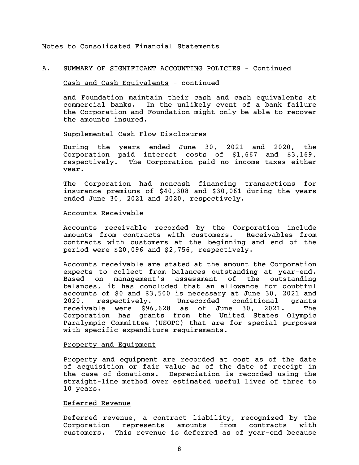## A. SUMMARY OF SIGNIFICANT ACCOUNTING POLICIES - Continued

## Cash and Cash Equivalents - continued

and Foundation maintain their cash and cash equivalents at commercial banks. In the unlikely event of a bank failure the Corporation and Foundation might only be able to recover the amounts insured.

## Supplemental Cash Flow Disclosures

During the years ended June 30, 2021 and 2020, the Corporation paid interest costs of \$1,667 and \$3,169, respectively. The Corporation paid no income taxes either year.

The Corporation had noncash financing transactions for insurance premiums of \$40,308 and \$30,061 during the years ended June 30, 2021 and 2020, respectively.

#### Accounts Receivable

Accounts receivable recorded by the Corporation include amounts from contracts with customers. Receivables from contracts with customers at the beginning and end of the period were \$20,096 and \$2,756, respectively.

Accounts receivable are stated at the amount the Corporation expects to collect from balances outstanding at year-end. Based on management's assessment of the outstanding balances, it has concluded that an allowance for doubtful accounts of \$0 and \$3,500 is necessary at June 30, 2021 and 2020, respectively. Unrecorded conditional grants receivable were \$96,628 as of June 30, 2021. The Corporation has grants from the United States Olympic Paralympic Committee (USOPC) that are for special purposes with specific expenditure requirements.

## Property and Equipment

Property and equipment are recorded at cost as of the date of acquisition or fair value as of the date of receipt in the case of donations. Depreciation is recorded using the straight-line method over estimated useful lives of three to 10 years.

## Deferred Revenue

Deferred revenue, a contract liability, recognized by the Corporation represents amounts from contracts with customers. This revenue is deferred as of year-end because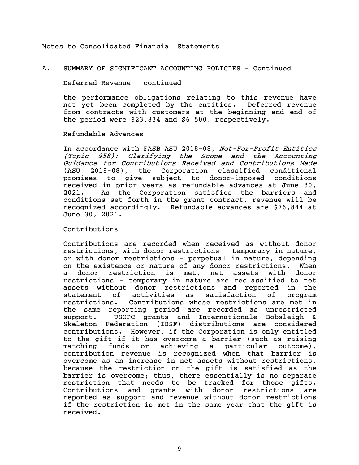#### A. SUMMARY OF SIGNIFICANT ACCOUNTING POLICIES - Continued

#### Deferred Revenue - continued

the performance obligations relating to this revenue have not yet been completed by the entities. Deferred revenue from contracts with customers at the beginning and end of the period were \$23,834 and \$6,500, respectively.

### Refundable Advances

In accordance with FASB ASU 2018-08, Not-For-Profit Entities (Topic 958): Clarifying the Scope and the Accounting Guidance for Contributions Received and Contributions Made (ASU 2018-08), the Corporation classified conditional promises to give subject to donor-imposed conditions received in prior years as refundable advances at June 30, 2021. As the Corporation satisfies the barriers and conditions set forth in the grant contract, revenue will be recognized accordingly. Refundable advances are \$76,844 at June 30, 2021.

## Contributions

Contributions are recorded when received as without donor restrictions, with donor restrictions - temporary in nature, or with donor restrictions - perpetual in nature, depending on the existence or nature of any donor restrictions. When a donor restriction is met, net assets with donor restrictions - temporary in nature are reclassified to net assets without donor restrictions and reported in the statement of activities as satisfaction of program restrictions. Contributions whose restrictions are met in the same reporting period are recorded as unrestricted support. USOPC grants and Internationale Bobsleigh & Skeleton Federation (IBSF) distributions are considered contributions. However, if the Corporation is only entitled to the gift if it has overcome a barrier (such as raising matching funds or achieving a particular outcome), contribution revenue is recognized when that barrier is overcome as an increase in net assets without restrictions, because the restriction on the gift is satisfied as the barrier is overcome; thus, there essentially is no separate restriction that needs to be tracked for those gifts. Contributions and grants with donor restrictions are reported as support and revenue without donor restrictions if the restriction is met in the same year that the gift is received.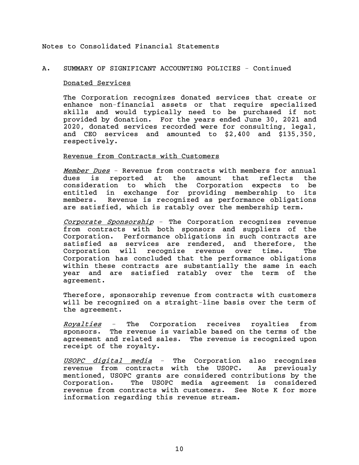## A. SUMMARY OF SIGNIFICANT ACCOUNTING POLICIES - Continued

#### Donated Services

The Corporation recognizes donated services that create or enhance non-financial assets or that require specialized skills and would typically need to be purchased if not provided by donation. For the years ended June 30, 2021 and 2020, donated services recorded were for consulting, legal, and CEO services and amounted to \$2,400 and \$135,350, respectively.

#### Revenue from Contracts with Customers

Member Dues - Revenue from contracts with members for annual dues is reported at the amount that reflects the consideration to which the Corporation expects to be entitled in exchange for providing membership to its members. Revenue is recognized as performance obligations are satisfied, which is ratably over the membership term.

Corporate Sponsorship - The Corporation recognizes revenue from contracts with both sponsors and suppliers of the Corporation. Performance obligations in such contracts are satisfied as services are rendered, and therefore, the Corporation will recognize revenue over time. The Corporation has concluded that the performance obligations within these contracts are substantially the same in each year and are satisfied ratably over the term of the agreement.

Therefore, sponsorship revenue from contracts with customers will be recognized on a straight-line basis over the term of the agreement.

Royalties - The Corporation receives royalties from sponsors. The revenue is variable based on the terms of the agreement and related sales. The revenue is recognized upon receipt of the royalty.

USOPC digital media - The Corporation also recognizes revenue from contracts with the USOPC. As previously mentioned, USOPC grants are considered contributions by the Corporation. The USOPC media agreement is considered revenue from contracts with customers. See Note K for more information regarding this revenue stream.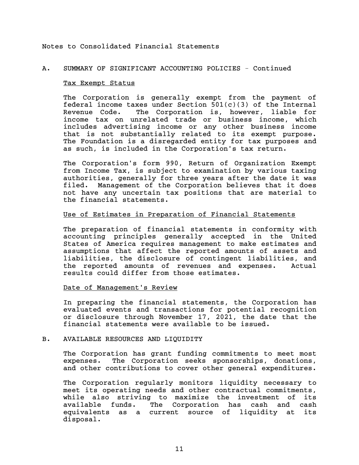## A. SUMMARY OF SIGNIFICANT ACCOUNTING POLICIES - Continued

#### Tax Exempt Status

The Corporation is generally exempt from the payment of federal income taxes under Section  $501(c)(3)$  of the Internal Revenue Code. The Corporation is, however, liable for income tax on unrelated trade or business income, which includes advertising income or any other business income that is not substantially related to its exempt purpose. The Foundation is a disregarded entity for tax purposes and as such, is included in the Corporation's tax return.

The Corporation's form 990, Return of Organization Exempt from Income Tax, is subject to examination by various taxing authorities, generally for three years after the date it was filed. Management of the Corporation believes that it does not have any uncertain tax positions that are material to the financial statements.

## Use of Estimates in Preparation of Financial Statements

The preparation of financial statements in conformity with accounting principles generally accepted in the United States of America requires management to make estimates and assumptions that affect the reported amounts of assets and liabilities, the disclosure of contingent liabilities, and the reported amounts of revenues and expenses. Actual results could differ from those estimates.

## Date of Management's Review

In preparing the financial statements, the Corporation has evaluated events and transactions for potential recognition or disclosure through November 17, 2021, the date that the financial statements were available to be issued.

## B. AVAILABLE RESOURCES AND LIQUIDITY

The Corporation has grant funding commitments to meet most expenses. The Corporation seeks sponsorships, donations, and other contributions to cover other general expenditures.

The Corporation regularly monitors liquidity necessary to meet its operating needs and other contractual commitments, while also striving to maximize the investment of its available funds. The Corporation has cash and cash equivalents as a current source of liquidity at its disposal.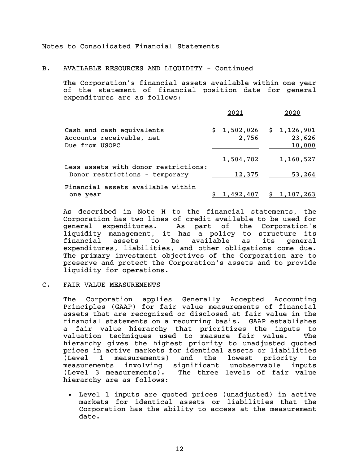## B. AVAILABLE RESOURCES AND LIQUIDITY - Continued

The Corporation's financial assets available within one year of the statement of financial position date for general expenditures are as follows:

|                                                                         | 2021      | 2020                                           |
|-------------------------------------------------------------------------|-----------|------------------------------------------------|
| Cash and cash equivalents<br>Accounts receivable, net<br>Due from USOPC | 2,756     | $$1,502,026 \t$ 1,126,901$<br>23,626<br>10,000 |
|                                                                         | 1,504,782 | 1,160,527                                      |
| Less assets with donor restrictions:<br>Donor restrictions - temporary  | 12,375    | 53,264                                         |
| Financial assets available within<br>one year                           |           | <u>1,492,407 \$ 1,107,263</u>                  |

As described in Note H to the financial statements, the Corporation has two lines of credit available to be used for general expenditures. As part of the Corporation's liquidity management, it has a policy to structure its financial assets to be available as its general expenditures, liabilities, and other obligations come due. The primary investment objectives of the Corporation are to preserve and protect the Corporation's assets and to provide liquidity for operations.

## C. FAIR VALUE MEASUREMENTS

The Corporation applies Generally Accepted Accounting Principles (GAAP) for fair value measurements of financial assets that are recognized or disclosed at fair value in the financial statements on a recurring basis. GAAP establishes a fair value hierarchy that prioritizes the inputs to valuation techniques used to measure fair value. The hierarchy gives the highest priority to unadjusted quoted prices in active markets for identical assets or liabilities (Level 1 measurements) and the lowest priority to measurements involving significant unobservable inputs (Level 3 measurements). The three levels of fair value hierarchy are as follows:

 Level 1 inputs are quoted prices (unadjusted) in active markets for identical assets or liabilities that the Corporation has the ability to access at the measurement date.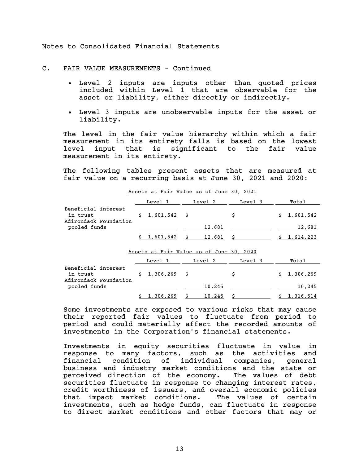C. FAIR VALUE MEASUREMENTS - Continued

- Level 2 inputs are inputs other than quoted prices included within Level 1 that are observable for the asset or liability, either directly or indirectly.
- Level 3 inputs are unobservable inputs for the asset or liability.

The level in the fair value hierarchy within which a fair measurement in its entirety falls is based on the lowest level input that is significant to the fair value measurement in its entirety.

The following tables present assets that are measured at fair value on a recurring basis at June 30, 2021 and 2020:

|                                                          |  | Level 1         | Level 2 | Level 3 | Total       |
|----------------------------------------------------------|--|-----------------|---------|---------|-------------|
| Beneficial interest<br>in trust<br>Adirondack Foundation |  | $$1,601,542$ \$ |         | s       | \$1,601,542 |
| pooled funds                                             |  |                 | 12,681  |         | 12,681      |
|                                                          |  | $$1,601,542$ \$ | 12,681  |         | \$1,614,223 |

Assets at Fair Value as of June 30, 2021

#### Assets at Fair Value as of June 30, 2020

|                                       | Level       | Level 2 | Level 3 | Total       |
|---------------------------------------|-------------|---------|---------|-------------|
| Beneficial interest<br>in trust       | \$1,306,269 |         |         | \$1,306,269 |
| Adirondack Foundation<br>pooled funds |             | 10,245  |         | 10,245      |
|                                       | 1,306,269   | 10,245  |         | 1,316,514   |

Some investments are exposed to various risks that may cause their reported fair values to fluctuate from period to period and could materially affect the recorded amounts of investments in the Corporation's financial statements.

Investments in equity securities fluctuate in value in response to many factors, such as the activities and financial condition of individual companies, general business and industry market conditions and the state or perceived direction of the economy. The values of debt securities fluctuate in response to changing interest rates, credit worthiness of issuers, and overall economic policies that impact market conditions. The values of certain investments, such as hedge funds, can fluctuate in response to direct market conditions and other factors that may or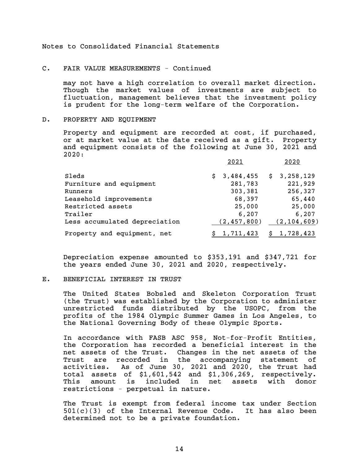## C. FAIR VALUE MEASUREMENTS - Continued

may not have a high correlation to overall market direction. Though the market values of investments are subject to fluctuation, management believes that the investment policy is prudent for the long-term welfare of the Corporation.

#### D. PROPERTY AND EQUIPMENT

Property and equipment are recorded at cost, if purchased, or at market value at the date received as a gift. Property and equipment consists of the following at June 30, 2021 and 2020:

|                               | 2021            | 2020          |
|-------------------------------|-----------------|---------------|
| Sleds                         | 3,484,455<br>S. | \$3,258,129   |
| Furniture and equipment       | 281,783         | 221,929       |
| Runners                       | 303,381         | 256,327       |
| Leasehold improvements        | 68,397          | 65,440        |
| Restricted assets             | 25,000          | 25,000        |
| Trailer                       | 6,207           | 6,207         |
| Less accumulated depreciation | (2, 457, 800)   | (2, 104, 609) |
| Property and equipment, net   | 1,711,423       | 1,728,423     |

Depreciation expense amounted to \$353,191 and \$347,721 for the years ended June 30, 2021 and 2020, respectively.

#### E. BENEFICIAL INTEREST IN TRUST

The United States Bobsled and Skeleton Corporation Trust (the Trust) was established by the Corporation to administer unrestricted funds distributed by the USOPC, from the profits of the 1984 Olympic Summer Games in Los Angeles, to the National Governing Body of these Olympic Sports.

In accordance with FASB ASC 958, Not-for-Profit Entities, the Corporation has recorded a beneficial interest in the net assets of the Trust. Changes in the net assets of the Trust are recorded in the accompanying statement of activities. As of June 30, 2021 and 2020, the Trust had total assets of \$1,601,542 and \$1,306,269, respectively. This amount is included in net assets with donor restrictions - perpetual in nature.

The Trust is exempt from federal income tax under Section 501(c)(3) of the Internal Revenue Code. It has also been determined not to be a private foundation.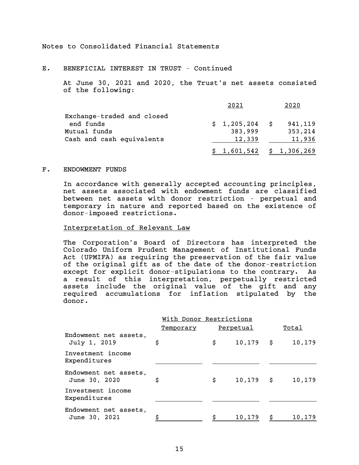E. BENEFICIAL INTEREST IN TRUST - Continued

At June 30, 2021 and 2020, the Trust's net assets consisted of the following:

|                            | 2021            | 2020                       |
|----------------------------|-----------------|----------------------------|
| Exchange-traded and closed |                 |                            |
| end funds                  | $$1,205,204$ \$ | 941,119                    |
| Mutual funds               | 383,999         | 353,214                    |
| Cash and cash equivalents  | 12,339          | 11,936                     |
|                            |                 | $$1,601,542 \t$ 1,306,269$ |

#### F. ENDOWMENT FUNDS

In accordance with generally accepted accounting principles, net assets associated with endowment funds are classified between net assets with donor restriction - perpetual and temporary in nature and reported based on the existence of donor-imposed restrictions.

#### Interpretation of Relevant Law

The Corporation's Board of Directors has interpreted the Colorado Uniform Prudent Management of Institutional Funds Act (UPMIFA) as requiring the preservation of the fair value of the original gift as of the date of the donor-restriction except for explicit donor-stipulations to the contrary. As a result of this interpretation, perpetually restricted assets include the original value of the gift and any required accumulations for inflation stipulated by the donor.

|                                        | With Donor Restrictions |    |                  |       |        |  |
|----------------------------------------|-------------------------|----|------------------|-------|--------|--|
|                                        | Temporary               |    | <u>Perpetual</u> | Total |        |  |
| Endowment net assets,<br>July 1, 2019  | \$                      | \$ | $10, 179$ \$     |       | 10,179 |  |
| Investment income<br>Expenditures      |                         |    |                  |       |        |  |
| Endowment net assets,<br>June 30, 2020 | \$                      | \$ | $10, 179$ \$     |       | 10,179 |  |
| Investment income<br>Expenditures      |                         |    |                  |       |        |  |
| Endowment net assets,<br>June 30, 2021 |                         |    | 10,179           |       | 10,179 |  |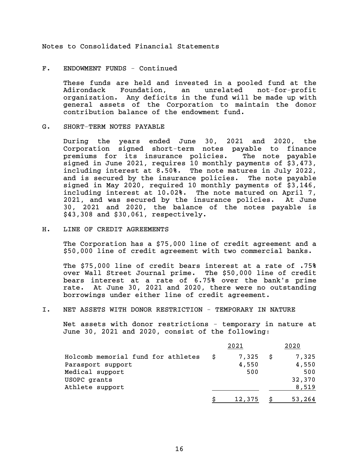## F. ENDOWMENT FUNDS - Continued

These funds are held and invested in a pooled fund at the Adirondack Foundation, an unrelated not-for-profit organization. Any deficits in the fund will be made up with general assets of the Corporation to maintain the donor contribution balance of the endowment fund.

## G. SHORT-TERM NOTES PAYABLE

During the years ended June 30, 2021 and 2020, the Corporation signed short-term notes payable to finance premiums for its insurance policies. The note payable signed in June 2021, requires 10 monthly payments of \$3,473, including interest at 8.50%. The note matures in July 2022, and is secured by the insurance policies. The note payable signed in May 2020, required 10 monthly payments of \$3,146, including interest at 10.02%. The note matured on April 7, 2021, and was secured by the insurance policies. At June 30, 2021 and 2020, the balance of the notes payable is \$43,308 and \$30,061, respectively.

## H. LINE OF CREDIT AGREEMENTS

The Corporation has a \$75,000 line of credit agreement and a \$50,000 line of credit agreement with two commercial banks.

The \$75,000 line of credit bears interest at a rate of .75% over Wall Street Journal prime. The \$50,000 line of credit bears interest at a rate of 6.75% over the bank's prime rate. At June 30, 2021 and 2020, there were no outstanding borrowings under either line of credit agreement.

## I. NET ASSETS WITH DONOR RESTRICTION - TEMPORARY IN NATURE

Net assets with donor restrictions - temporary in nature at June 30, 2021 and 2020, consist of the following:

|                                    |   | 2021   |   | 2020   |
|------------------------------------|---|--------|---|--------|
| Holcomb memorial fund for athletes | S | 7,325  | S | 7,325  |
| Parasport support                  |   | 4,550  |   | 4,550  |
| Medical support                    |   | 500    |   | 500    |
| USOPC grants                       |   |        |   | 32,370 |
| Athlete support                    |   |        |   | 8,519  |
|                                    |   | 12,375 |   | 53,264 |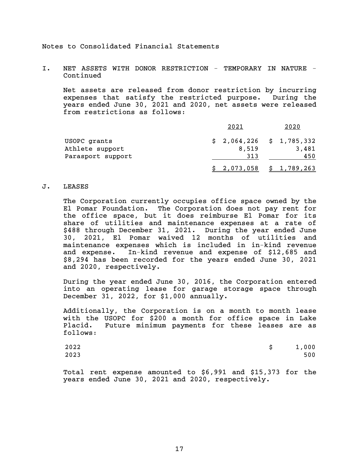I. NET ASSETS WITH DONOR RESTRICTION - TEMPORARY IN NATURE - Continued

Net assets are released from donor restriction by incurring expenses that satisfy the restricted purpose. During the years ended June 30, 2021 and 2020, net assets were released from restrictions as follows:

|                   | 2021                      | 2020               |
|-------------------|---------------------------|--------------------|
| USOPC grants      | $$2,064,226 \t$1,785,332$ |                    |
| Athlete support   | 8,519                     | 3,481              |
| Parasport support | 313                       | 450                |
|                   | 2,073,058                 | $5\quad 1,789,263$ |

#### J. LEASES

The Corporation currently occupies office space owned by the El Pomar Foundation. The Corporation does not pay rent for the office space, but it does reimburse El Pomar for its share of utilities and maintenance expenses at a rate of \$488 through December 31, 2021. During the year ended June 30, 2021, El Pomar waived 12 months of utilities and maintenance expenses which is included in in-kind revenue and expense. In-kind revenue and expense of \$12,685 and \$8,294 has been recorded for the years ended June 30, 2021 and 2020, respectively.

During the year ended June 30, 2016, the Corporation entered into an operating lease for garage storage space through December 31, 2022, for \$1,000 annually.

Additionally, the Corporation is on a month to month lease with the USOPC for \$200 a month for office space in Lake Placid. Future minimum payments for these leases are as follows:

| 2022 | \$1,000 |
|------|---------|
| 2023 | 500     |

Total rent expense amounted to \$6,991 and \$15,373 for the years ended June 30, 2021 and 2020, respectively.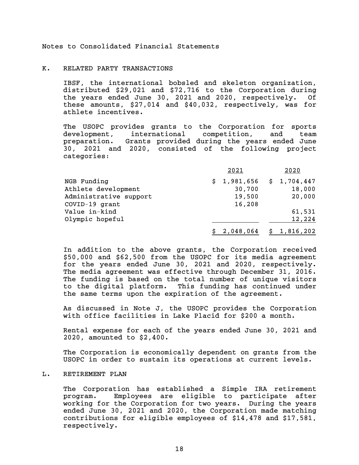#### K. RELATED PARTY TRANSACTIONS

IBSF, the international bobsled and skeleton organization, distributed \$29,021 and \$72,716 to the Corporation during the years ended June 30, 2021 and 2020, respectively. Of these amounts, \$27,014 and \$40,032, respectively, was for athlete incentives.

The USOPC provides grants to the Corporation for sports development, international competition, and team preparation. Grants provided during the years ended June 30, 2021 and 2020, consisted of the following project categories:

|                        | 2021        | 2020                       |
|------------------------|-------------|----------------------------|
| NGB Funding            | \$1,981,656 | \$1,704,447                |
| Athlete development    | 30,700      | 18,000                     |
| Administrative support | 19,500      | 20,000                     |
| COVID-19 grant         | 16,208      |                            |
| Value in-kind          |             | 61,531                     |
| Olympic hopeful        |             | 12,224                     |
|                        |             | $$2,048,064 \t $1,816,202$ |

In addition to the above grants, the Corporation received \$50,000 and \$62,500 from the USOPC for its media agreement for the years ended June 30, 2021 and 2020, respectively. The media agreement was effective through December 31, 2016. The funding is based on the total number of unique visitors to the digital platform. This funding has continued under the same terms upon the expiration of the agreement.

As discussed in Note J, the USOPC provides the Corporation with office facilities in Lake Placid for \$200 a month.

Rental expense for each of the years ended June 30, 2021 and 2020, amounted to \$2,400.

The Corporation is economically dependent on grants from the USOPC in order to sustain its operations at current levels.

## L. RETIREMENT PLAN

The Corporation has established a Simple IRA retirement program. Employees are eligible to participate after working for the Corporation for two years. During the years ended June 30, 2021 and 2020, the Corporation made matching contributions for eligible employees of \$14,478 and \$17,581, respectively.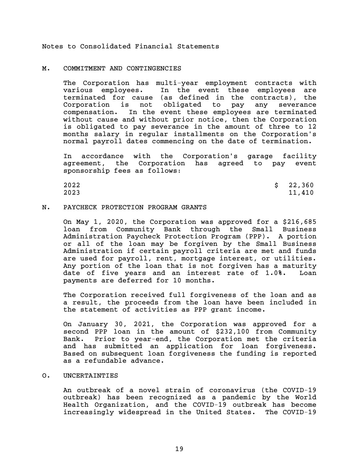#### M. COMMITMENT AND CONTINGENCIES

The Corporation has multi-year employment contracts with various employees. In the event these employees are terminated for cause (as defined in the contracts), the Corporation is not obligated to pay any severance compensation. In the event these employees are terminated without cause and without prior notice, then the Corporation is obligated to pay severance in the amount of three to 12 months salary in regular installments on the Corporation's normal payroll dates commencing on the date of termination.

In accordance with the Corporation's garage facility agreement, the Corporation has agreed to pay event sponsorship fees as follows:

| 2022 | \$22,360 |
|------|----------|
| 2023 | 11,410   |

## N. PAYCHECK PROTECTION PROGRAM GRANTS

On May 1, 2020, the Corporation was approved for a \$216,685 loan from Community Bank through the Small Business Administration Paycheck Protection Program (PPP). A portion or all of the loan may be forgiven by the Small Business Administration if certain payroll criteria are met and funds are used for payroll, rent, mortgage interest, or utilities. Any portion of the loan that is not forgiven has a maturity date of five years and an interest rate of 1.0%. Loan payments are deferred for 10 months.

The Corporation received full forgiveness of the loan and as a result, the proceeds from the loan have been included in the statement of activities as PPP grant income.

On January 30, 2021, the Corporation was approved for a second PPP loan in the amount of \$232,100 from Community Bank. Prior to year-end, the Corporation met the criteria and has submitted an application for loan forgiveness. Based on subsequent loan forgiveness the funding is reported as a refundable advance.

#### O. UNCERTAINTIES

An outbreak of a novel strain of coronavirus (the COVID-19 outbreak) has been recognized as a pandemic by the World Health Organization, and the COVID-19 outbreak has become increasingly widespread in the United States. The COVID-19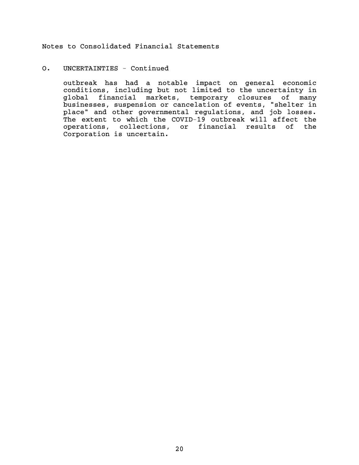## O. UNCERTAINTIES - Continued

outbreak has had a notable impact on general economic conditions, including but not limited to the uncertainty in global financial markets, temporary closures of many businesses, suspension or cancelation of events, "shelter in place" and other governmental regulations, and job losses. The extent to which the COVID-19 outbreak will affect the operations, collections, or financial results of the Corporation is uncertain.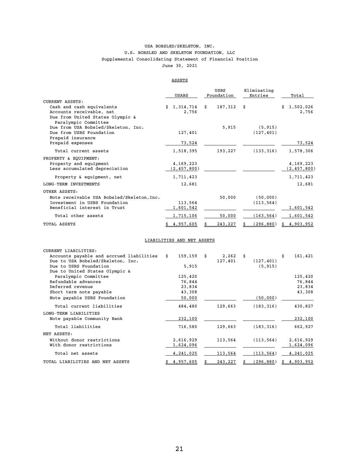#### USA BOBSLED/SKELETON, INC. Supplemental Consolidating Statement of Financial Position June 30, 2021 U.S. BOBSLED AND SKELETON FOUNDATION, LLC

## ASSETS

|                                                             | USABS           | USBS<br>Foundation | Eliminating<br>Entries | Total           |
|-------------------------------------------------------------|-----------------|--------------------|------------------------|-----------------|
| <b>CURRENT ASSETS:</b>                                      |                 |                    |                        |                 |
| Cash and cash equivalents                                   | 1,314,714<br>Ś. | Ŝ.<br>187,312      | \$                     | Ŝ.<br>1,502,026 |
| Accounts receivable, net                                    | 2,756           |                    |                        | 2,756           |
| Due from United States Olympic &                            |                 |                    |                        |                 |
| Paralympic Committee<br>Due from USA Bobsled/Skeleton, Inc. |                 | 5,915              | (5, 915)               |                 |
| Due from USBS Foundation                                    | 127,401         |                    | (127, 401)             |                 |
| Prepaid insurance                                           |                 |                    |                        |                 |
| Prepaid expenses                                            | 73,524          |                    |                        | 73,524          |
| Total current assets                                        | 1,518,395       | 193,227            | (133, 316)             | 1,578,306       |
| PROPERTY & EQUIPMENT:                                       |                 |                    |                        |                 |
| Property and equipment                                      | 4,169,223       |                    |                        | 4,169,223       |
| Less accumulated depreciation                               | (2, 457, 800)   |                    |                        | (2, 457, 800)   |
| Property & equipment, net                                   | 1,711,423       |                    |                        | 1,711,423       |
| LONG-TERM INVESTMENTS                                       | 12,681          |                    |                        | 12,681          |
| OTHER ASSETS:                                               |                 |                    |                        |                 |
| Note receivable USA Bobsled/Skeleton, Inc.                  |                 | 50,000             | (50,000)               |                 |
| Investment in USBS Foundation                               | 113,564         |                    | (113, 564)             |                 |
| Beneficial interest in Trust                                | 1,601,542       |                    |                        | 1,601,542       |
| Total other assets                                          | 1,715,106       | 50,000             | (163, 564)             | 1,601,542       |
| TOTAL ASSETS                                                | 4,957,605       | 243,227            | (296, 880)             | 4,903,952       |

#### LIABILITIES AND NET ASSETS

| CURRENT LIABILITIES:                        |            |            |            |               |
|---------------------------------------------|------------|------------|------------|---------------|
| Accounts payable and accrued liabilities \$ | 159,159 \$ | $2,262$ \$ |            | \$<br>161,421 |
| Due to USA Bobsled/Skeleton, Inc.           |            | 127,401    | (127, 401) |               |
| Due to USBS Foundation                      | 5,915      |            | (5, 915)   |               |
| Due to United States Olympic &              |            |            |            |               |
| Paralympic Committee                        | 125,420    |            |            | 125,420       |
| Refundable advances                         | 76,844     |            |            | 76,844        |
| Deferred revenue                            | 23,834     |            |            | 23,834        |
| Short term note payable                     | 43,308     |            |            | 43,308        |
| Note payable USBS Foundation                | 50,000     |            | (50,000)   |               |
| Total current liabilities                   | 484,480    | 129,663    | (183, 316) | 430,827       |
| LONG-TERM LIABILITIES                       |            |            |            |               |
| Note payable Community Bank                 | 232,100    |            |            | 232,100       |
| Total liabilities                           | 716,580    | 129,663    | (183, 316) | 662,927       |
| NET ASSETS:                                 |            |            |            |               |
| Without donor restrictions                  | 2,616,929  | 113,564    | (113, 564) | 2,616,929     |
| With donor restrictions                     | 1,624,096  |            |            | 1,624,096     |
| Total net assets                            | 4,241,025  | 113,564    | (113, 564) | 4,241,025     |
| TOTAL LIABILITIES AND NET ASSETS            | 4,957,605  | 243,227    | (296, 880) | \$4,903,952   |